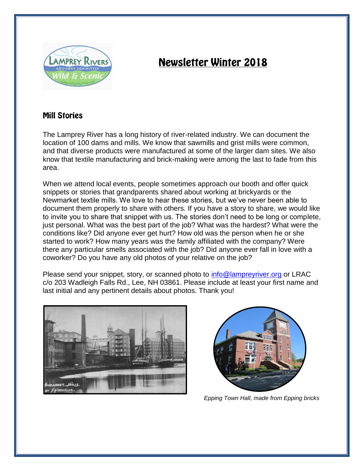

# **Newsletter Winter 2018**

## **Mill Stories**

The Lamprey River has a long history of river-related industry. We can document the location of 100 dams and mills. We know that sawmills and grist mills were common, and that diverse products were manufactured at some of the larger dam sites. We also know that textile manufacturing and brick-making were among the last to fade from this area.

When we attend local events, people sometimes approach our booth and offer quick snippets or stories that grandparents shared about working at brickyards or the Newmarket textile mills. We love to hear these stories, but we've never been able to document them properly to share with others. If you have a story to share, we would like to invite you to share that snippet with us. The stories don't need to be long or complete, just personal. What was the best part of the job? What was the hardest? What were the conditions like? Did anyone ever get hurt? How old was the person when he or she started to work? How many years was the family affiliated with the company? Were there any particular smells associated with the job? Did anyone ever fall in love with a coworker? Do you have any old photos of your relative on the job?

Please send your snippet, story, or scanned photo to [info@lampreyriver.org](mailto:info@lampreyriver.org) or LRAC c/o 203 Wadleigh Falls Rd., Lee, NH 03861. Please include at least your first name and last initial and any pertinent details about photos. Thank you!





*Epping Town Hall, made from Epping bricks*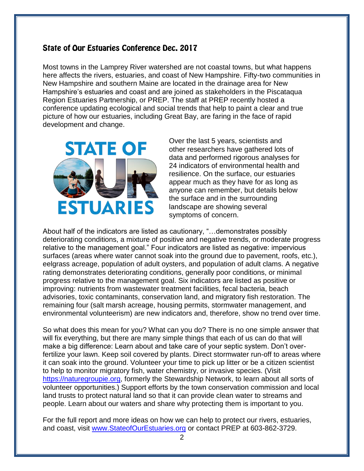### State of Our Estuaries Conference Dec. 2017

Most towns in the Lamprey River watershed are not coastal towns, but what happens here affects the rivers, estuaries, and coast of New Hampshire. Fifty-two communities in New Hampshire and southern Maine are located in the drainage area for New Hampshire's estuaries and coast and are joined as stakeholders in the Piscataqua Region Estuaries Partnership, or PREP. The staff at PREP recently hosted a conference updating ecological and social trends that help to paint a clear and true picture of how our estuaries, including Great Bay, are faring in the face of rapid development and change.



Over the last 5 years, scientists and other researchers have gathered lots of data and performed rigorous analyses for 24 indicators of environmental health and resilience. On the surface, our estuaries appear much as they have for as long as anyone can remember, but details below the surface and in the surrounding landscape are showing several symptoms of concern.

About half of the indicators are listed as cautionary, "…demonstrates possibly deteriorating conditions, a mixture of positive and negative trends, or moderate progress relative to the management goal." Four indicators are listed as negative: impervious surfaces (areas where water cannot soak into the ground due to pavement, roofs, etc.), eelgrass acreage, population of adult oysters, and population of adult clams. A negative rating demonstrates deteriorating conditions, generally poor conditions, or minimal progress relative to the management goal. Six indicators are listed as positive or improving: nutrients from wastewater treatment facilities, fecal bacteria, beach advisories, toxic contaminants, conservation land, and migratory fish restoration. The remaining four (salt marsh acreage, housing permits, stormwater management, and environmental volunteerism) are new indicators and, therefore, show no trend over time.

So what does this mean for you? What can you do? There is no one simple answer that will fix everything, but there are many simple things that each of us can do that will make a big difference: Learn about and take care of your septic system. Don't overfertilize your lawn. Keep soil covered by plants. Direct stormwater run-off to areas where it can soak into the ground. Volunteer your time to pick up litter or be a citizen scientist to help to monitor migratory fish, water chemistry, or invasive species. (Visit [https://naturegroupie.org,](https://naturegroupie.org/) formerly the Stewardship Network, to learn about all sorts of volunteer opportunities.) Support efforts by the town conservation commission and local land trusts to protect natural land so that it can provide clean water to streams and people. Learn about our waters and share why protecting them is important to you.

For the full report and more ideas on how we can help to protect our rivers, estuaries, and coast, visit [www.StateofOurEstuaries.org](http://www.stateofourestuaries.org/) or contact PREP at 603-862-3729.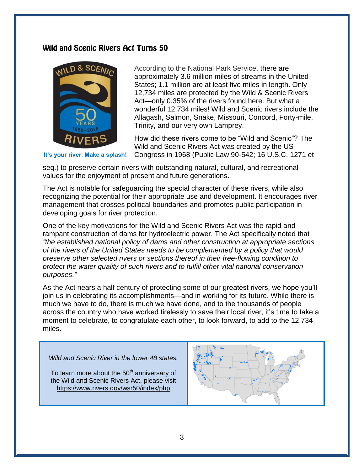### Wild and Scenic Rivers Act Turns 50



According to the National Park Service, there are approximately 3.6 million miles of streams in the United States; 1.1 million are at least five miles in length. Only 12,734 miles are protected by the Wild & Scenic Rivers Act—only 0.35% of the rivers found here. But what a wonderful 12,734 miles! Wild and Scenic rivers include the Allagash, Salmon, Snake, Missouri, Concord, Forty-mile, Trinity, and our very own Lamprey.

How did these rivers come to be "Wild and Scenic"? The Wild and Scenic Rivers Act was created by the US Congress in 1968 (Public Law 90-542; 16 U.S.C. 1271 et

**It's your river. Make a splash!**

seq.) to preserve certain rivers with outstanding natural, cultural, and recreational values for the enjoyment of present and future generations.

The Act is notable for safeguarding the special character of these rivers, while also recognizing the potential for their appropriate use and development. It encourages river management that crosses political boundaries and promotes public participation in developing goals for river protection.

One of the key motivations for the Wild and Scenic Rivers Act was the rapid and rampant construction of dams for hydroelectric power. The Act specifically noted that *"the established national policy of dams and other construction at appropriate sections of the rivers of the United States needs to be complemented by a policy that would preserve other selected rivers or sections thereof in their free-flowing condition to protect the water quality of such rivers and to fulfill other vital national conservation purposes."* 

As the Act nears a half century of protecting some of our greatest rivers, we hope you'll join us in celebrating its accomplishments—and in working for its future. While there is much we have to do, there is much we have done, and to the thousands of people across the country who have worked tirelessly to save their local river, it's time to take a moment to celebrate, to congratulate each other, to look forward, to add to the 12,734 miles.

*Wild and Scenic River in the lower 48 states.*

To learn more about the  $50<sup>th</sup>$  anniversary of the Wild and Scenic Rivers Act, please visit <https://www.rivers.gov/wsr50/index/php>